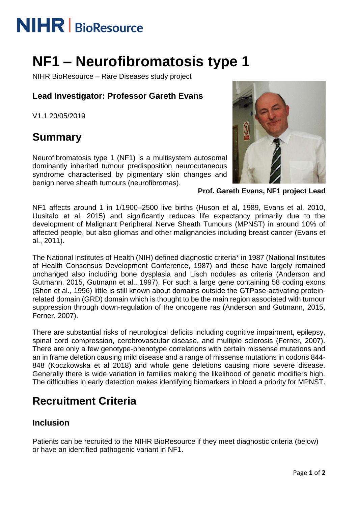# **NIHR** | BioResource

## **NF1 – Neurofibromatosis type 1**

NIHR BioResource – Rare Diseases study project

#### **Lead Investigator: Professor Gareth Evans**

V1.1 20/05/2019

### **Summary**

Neurofibromatosis type 1 (NF1) is a multisystem autosomal dominantly inherited tumour predisposition neurocutaneous syndrome characterised by pigmentary skin changes and benign nerve sheath tumours (neurofibromas).



**Prof. Gareth Evans, NF1 project Lead**

NF1 affects around 1 in 1/1900–2500 live births (Huson et al, 1989, Evans et al, 2010, Uusitalo et al, 2015) and significantly reduces life expectancy primarily due to the development of Malignant Peripheral Nerve Sheath Tumours (MPNST) in around 10% of affected people, but also gliomas and other malignancies including breast cancer (Evans et al., 2011).

The National Institutes of Health (NIH) defined diagnostic criteria\* in 1987 (National Institutes of Health Consensus Development Conference, 1987) and these have largely remained unchanged also including bone dysplasia and Lisch nodules as criteria (Anderson and Gutmann, 2015, Gutmann et al., 1997). For such a large gene containing 58 coding exons (Shen et al., 1996) little is still known about domains outside the GTPase-activating proteinrelated domain (GRD) domain which is thought to be the main region associated with tumour suppression through down-regulation of the oncogene ras (Anderson and Gutmann, 2015, Ferner, 2007).

There are substantial risks of neurological deficits including cognitive impairment, epilepsy, spinal cord compression, cerebrovascular disease, and multiple sclerosis (Ferner, 2007). There are only a few genotype-phenotype correlations with certain missense mutations and an in frame deletion causing mild disease and a range of missense mutations in codons 844- 848 (Koczkowska et al 2018) and whole gene deletions causing more severe disease. Generally there is wide variation in families making the likelihood of genetic modifiers high. The difficulties in early detection makes identifying biomarkers in blood a priority for MPNST.

### **Recruitment Criteria**

#### **Inclusion**

Patients can be recruited to the NIHR BioResource if they meet diagnostic criteria (below) or have an identified pathogenic variant in NF1.